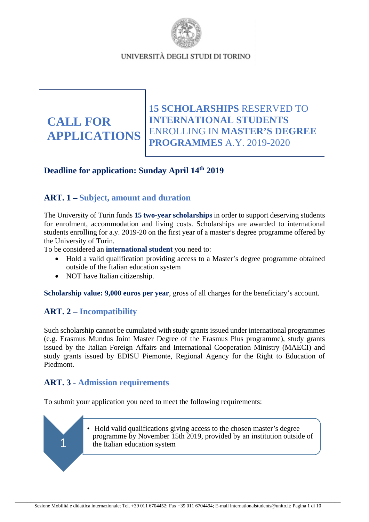

**CALL FOR APPLICATIONS**

**15 SCHOLARSHIPS** RESERVED TO **INTERNATIONAL STUDENTS** ENROLLING IN **MASTER'S DEGREE PROGRAMMES** A.Y. 2019-2020

# **Deadline for application: Sunday April 14th 2019**

# **ART. 1 – Subject, amount and duration**

The University of Turin funds **15 two-year scholarships** in order to support deserving students for enrolment, accommodation and living costs. Scholarships are awarded to international students enrolling for a.y. 2019-20 on the first year of a master's degree programme offered by the University of Turin.

To be considered an **international student** you need to:

- Hold a valid qualification providing access to a Master's degree programme obtained outside of the Italian education system
- NOT have Italian citizenship.

**Scholarship value: 9,000 euros per year**, gross of all charges for the beneficiary's account.

# **ART. 2 – Incompatibility**

1

Such scholarship cannot be cumulated with study grants issued under international programmes (e.g. Erasmus Mundus Joint Master Degree of the Erasmus Plus programme), study grants issued by the Italian Foreign Affairs and International Cooperation Ministry (MAECI) and study grants issued by EDISU Piemonte, Regional Agency for the Right to Education of Piedmont.

# **ART. 3 - Admission requirements**

To submit your application you need to meet the following requirements:

• Hold valid qualifications giving access to the chosen master's degree programme by November 15th 2019, provided by an institution outside of the Italian education system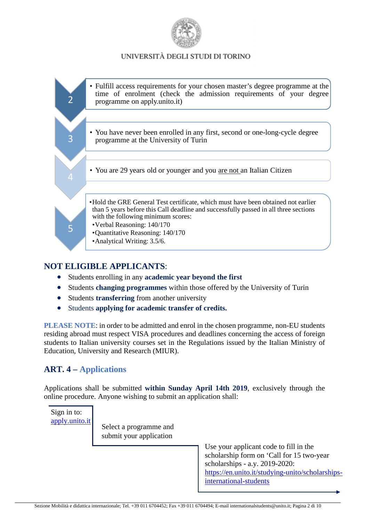



# **NOT ELIGIBLE APPLICANTS**:

- Students enrolling in any **academic year beyond the first**
- Students **changing programmes** within those offered by the University of Turin
- Students **transferring** from another university
- Students **applying for academic transfer of credits.**

**PLEASE NOTE**: in order to be admitted and enrol in the chosen programme, non-EU students residing abroad must respect VISA procedures and deadlines concerning the access of foreign students to Italian university courses set in the Regulations issued by the Italian Ministry of Education, University and Research (MIUR).

# **ART. 4 – Applications**

Applications shall be submitted **within Sunday April 14th 2019**, exclusively through the online procedure. Anyone wishing to submit an application shall:

Select a programme and submit your application Sign in to: [apply.unito.it](https://apply.unito.it/)

Use your applicant code to fill in the scholarship form on 'Call for 15 two-year scholarships - a.y. 2019-2020: [https://en.unito.it/studying-unito/scholarships](https://en.unito.it/studying-unito/scholarships-international-students)[international-students](https://en.unito.it/studying-unito/scholarships-international-students)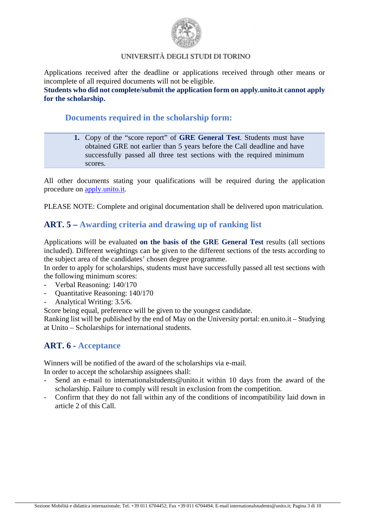

 $\overline{a}$ Applications received after the deadline or applications received through other means or incomplete of all required documents will not be eligible.

**Students who did not complete/submit the application form on apply.unito.it cannot apply for the scholarship.**

## **Documents required in the scholarship form:**

**1.** Copy of the "score report" of **GRE General Test**. Students must have obtained GRE not earlier than 5 years before the Call deadline and have successfully passed all three test sections with the required minimum scores.

All other documents stating your qualifications will be required during the application procedure on [apply.unito.it.](https://apply.unito.it/)

PLEASE NOTE: Complete and original documentation shall be delivered upon matriculation.

# **ART. 5 – Awarding criteria and drawing up of ranking list**

Applications will be evaluated **on the basis of the GRE General Test** results (all sections included). Different weightings can be given to the different sections of the tests according to the subject area of the candidates' chosen degree programme.

In order to apply for scholarships, students must have successfully passed all test sections with the following minimum scores:

- Verbal Reasoning:  $140/170$
- Quantitative Reasoning: 140/170
- Analytical Writing:  $3.5/6$ .

Score being equal, preference will be given to the youngest candidate.

Ranking list will be published by the end of May on the University portal: en.unito.it – Studying at Unito – Scholarships for international students.

# **ART. 6 - Acceptance**

Winners will be notified of the award of the scholarships via e-mail.

In order to accept the scholarship assignees shall:

- Send an e-mail to internationalstudents@unito.it within 10 days from the award of the scholarship. Failure to comply will result in exclusion from the competition.
- Confirm that they do not fall within any of the conditions of incompatibility laid down in article 2 of this Call.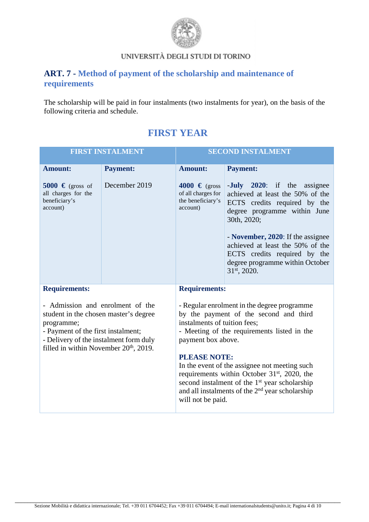

# **ART. 7 - Method of payment of the scholarship and maintenance of requirements**

The scholarship will be paid in four instalments (two instalments for year), on the basis of the following criteria and schedule.

| <b>FIRST INSTALMENT</b>                                                                                                                                                                                                       |                 | <b>SECOND INSTALMENT</b>                                                                                                                                                                                                                                                          |                                                                                                                                                                                             |  |
|-------------------------------------------------------------------------------------------------------------------------------------------------------------------------------------------------------------------------------|-----------------|-----------------------------------------------------------------------------------------------------------------------------------------------------------------------------------------------------------------------------------------------------------------------------------|---------------------------------------------------------------------------------------------------------------------------------------------------------------------------------------------|--|
| <b>Amount:</b>                                                                                                                                                                                                                | <b>Payment:</b> | <b>Amount:</b>                                                                                                                                                                                                                                                                    | <b>Payment:</b>                                                                                                                                                                             |  |
| 5000 $\in$ (gross of<br>all charges for the<br>beneficiary's<br>account)                                                                                                                                                      | December 2019   | 4000 € (gross<br>of all charges for<br>the beneficiary's<br>account)                                                                                                                                                                                                              | - <b>July</b> 2020: if the assignee<br>achieved at least the 50% of the<br>ECTS credits required by the<br>degree programme within June<br>30th, 2020;<br>- November, 2020: If the assignee |  |
|                                                                                                                                                                                                                               |                 |                                                                                                                                                                                                                                                                                   | achieved at least the 50% of the<br>ECTS credits required by the<br>degree programme within October<br>31st, 2020.                                                                          |  |
| <b>Requirements:</b>                                                                                                                                                                                                          |                 | <b>Requirements:</b>                                                                                                                                                                                                                                                              |                                                                                                                                                                                             |  |
| - Admission and enrolment of the<br>student in the chosen master's degree<br>programme;<br>- Payment of the first instalment;<br>- Delivery of the instalment form duly<br>filled in within November 20 <sup>th</sup> , 2019. |                 | - Regular enrolment in the degree programme<br>by the payment of the second and third<br>instalments of tuition fees;<br>- Meeting of the requirements listed in the<br>payment box above.                                                                                        |                                                                                                                                                                                             |  |
|                                                                                                                                                                                                                               |                 | <b>PLEASE NOTE:</b><br>In the event of the assignee not meeting such<br>requirements within October 31 <sup>st</sup> , 2020, the<br>second instalment of the 1 <sup>st</sup> year scholarship<br>and all instalments of the 2 <sup>nd</sup> year scholarship<br>will not be paid. |                                                                                                                                                                                             |  |

# **FIRST YEAR**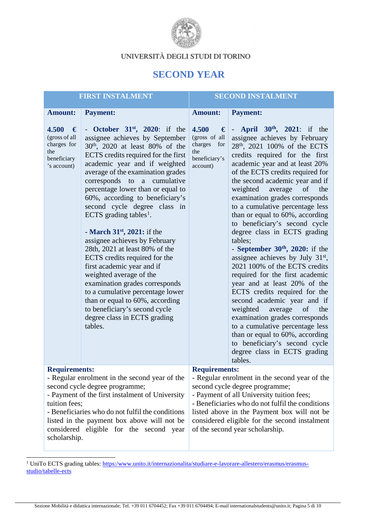

# **SECOND YEAR**

| <b>FIRST INSTALMENT</b>                                                                                                                                                                                                                                                                                           |                                                                                 | <b>SECOND INSTALMENT</b>                                                                                                                                                                                                                                                                                                                                                                                                                                                                                                                                                                                                                                                                                                                                                                         |                                                                                                |                                                                                                                                                                                                                                                                                                                                                                                                                                                                                                                                                                                                                                                                                                                                                                                                                                                                                                                                                                             |
|-------------------------------------------------------------------------------------------------------------------------------------------------------------------------------------------------------------------------------------------------------------------------------------------------------------------|---------------------------------------------------------------------------------|--------------------------------------------------------------------------------------------------------------------------------------------------------------------------------------------------------------------------------------------------------------------------------------------------------------------------------------------------------------------------------------------------------------------------------------------------------------------------------------------------------------------------------------------------------------------------------------------------------------------------------------------------------------------------------------------------------------------------------------------------------------------------------------------------|------------------------------------------------------------------------------------------------|-----------------------------------------------------------------------------------------------------------------------------------------------------------------------------------------------------------------------------------------------------------------------------------------------------------------------------------------------------------------------------------------------------------------------------------------------------------------------------------------------------------------------------------------------------------------------------------------------------------------------------------------------------------------------------------------------------------------------------------------------------------------------------------------------------------------------------------------------------------------------------------------------------------------------------------------------------------------------------|
|                                                                                                                                                                                                                                                                                                                   | <b>Amount:</b>                                                                  | <b>Payment:</b>                                                                                                                                                                                                                                                                                                                                                                                                                                                                                                                                                                                                                                                                                                                                                                                  | <b>Amount:</b>                                                                                 | <b>Payment:</b>                                                                                                                                                                                                                                                                                                                                                                                                                                                                                                                                                                                                                                                                                                                                                                                                                                                                                                                                                             |
|                                                                                                                                                                                                                                                                                                                   | 4.500<br>€<br>(gross of all<br>charges for<br>the<br>beneficiary<br>'s account) | October $31st$ , 2020: if the<br>٠<br>assignee achieves by September<br>30 <sup>th</sup> , 2020 at least 80% of the<br>ECTS credits required for the first<br>academic year and if weighted<br>average of the examination grades<br>corresponds to a cumulative<br>percentage lower than or equal to<br>60%, according to beneficiary's<br>second cycle degree class in<br>ECTS grading tables <sup>1</sup> .<br>- March $31st$ , 2021: if the<br>assignee achieves by February<br>28th, 2021 at least 80% of the<br>ECTS credits required for the<br>first academic year and if<br>weighted average of the<br>examination grades corresponds<br>to a cumulative percentage lower<br>than or equal to 60%, according<br>to beneficiary's second cycle<br>degree class in ECTS grading<br>tables. | 4.500<br>$ \mathbf{E} $<br>(gross of all<br>charges<br>for<br>the<br>beneficiary's<br>account) | - <b>April</b> $30^{th}$ , $2021$ : if the<br>assignee achieves by February<br>28 <sup>th</sup> , 2021 100% of the ECTS<br>credits required for the first<br>academic year and at least 20%<br>of the ECTS credits required for<br>the second academic year and if<br>weighted<br>of<br>average<br>the<br>examination grades corresponds<br>to a cumulative percentage less<br>than or equal to 60%, according<br>to beneficiary's second cycle<br>degree class in ECTS grading<br>tables:<br>- September $30th$ , 2020: if the<br>assignee achieves by July 31 <sup>st</sup> ,<br>2021 100% of the ECTS credits<br>required for the first academic<br>year and at least 20% of the<br>ECTS credits required for the<br>second academic year and if<br>weighted<br>average<br>the<br>of<br>examination grades corresponds<br>to a cumulative percentage less<br>than or equal to 60%, according<br>to beneficiary's second cycle<br>degree class in ECTS grading<br>tables. |
|                                                                                                                                                                                                                                                                                                                   | <b>Requirements:</b>                                                            |                                                                                                                                                                                                                                                                                                                                                                                                                                                                                                                                                                                                                                                                                                                                                                                                  | <b>Requirements:</b>                                                                           |                                                                                                                                                                                                                                                                                                                                                                                                                                                                                                                                                                                                                                                                                                                                                                                                                                                                                                                                                                             |
| - Regular enrolment in the second year of the<br>second cycle degree programme;<br>- Payment of the first instalment of University<br>tuition fees;<br>- Beneficiaries who do not fulfil the conditions<br>listed in the payment box above will not be<br>considered eligible for the second year<br>scholarship. |                                                                                 | - Regular enrolment in the second year of the<br>second cycle degree programme;<br>- Payment of all University tuition fees;<br>- Beneficiaries who do not fulfil the conditions<br>listed above in the Payment box will not be<br>considered eligible for the second instalment<br>of the second year scholarship.                                                                                                                                                                                                                                                                                                                                                                                                                                                                              |                                                                                                |                                                                                                                                                                                                                                                                                                                                                                                                                                                                                                                                                                                                                                                                                                                                                                                                                                                                                                                                                                             |

<span id="page-4-0"></span><sup>1</sup> UniTo ECTS grading tables: [https:/www.unito.it/internazionalita/studiare-e-lavorare-allestero/erasmus/erasmus](https://www.unito.it/internazionalita/studiare-e-lavorare-allestero/erasmus/erasmus-studio/tabelle-ects)[studio/tabelle-ects](https://www.unito.it/internazionalita/studiare-e-lavorare-allestero/erasmus/erasmus-studio/tabelle-ects)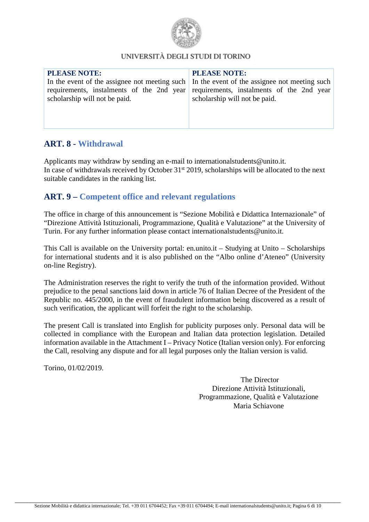

# **ART. 8 - Withdrawal**

Applicants may withdraw by sending an e-mail to internationalstudents@unito.it. In case of withdrawals received by October 31<sup>st</sup> 2019, scholarships will be allocated to the next suitable candidates in the ranking list.

# **ART. 9 – Competent office and relevant regulations**

The office in charge of this announcement is "Sezione Mobilità e Didattica Internazionale" of "Direzione Attività Istituzionali, Programmazione, Qualità e Valutazione" at the University of Turin. For any further information please contact internationalstudents@unito.it.

This Call is available on the University portal: en.unito.it – Studying at Unito – Scholarships for international students and it is also published on the "Albo online d'Ateneo" (University on-line Registry).

The Administration reserves the right to verify the truth of the information provided. Without prejudice to the penal sanctions laid down in article 76 of Italian Decree of the President of the Republic no. 445/2000, in the event of fraudulent information being discovered as a result of such verification, the applicant will forfeit the right to the scholarship.

The present Call is translated into English for publicity purposes only. Personal data will be collected in compliance with the European and Italian data protection legislation. Detailed information available in the Attachment I – Privacy Notice (Italian version only). For enforcing the Call, resolving any dispute and for all legal purposes only the Italian version is valid.

Torino, 01/02/2019.

The Director Direzione Attività Istituzionali, Programmazione, Qualità e Valutazione Maria Schiavone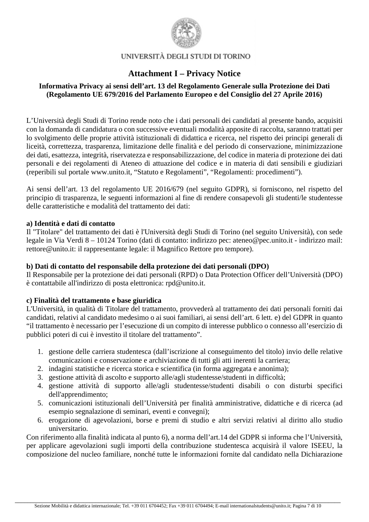

# **Attachment I – Privacy Notice**

## **Informativa Privacy ai sensi dell'art. 13 del Regolamento Generale sulla Protezione dei Dati (Regolamento UE 679/2016 del Parlamento Europeo e del Consiglio del 27 Aprile 2016)**

L'Università degli Studi di Torino rende noto che i dati personali dei candidati al presente bando, acquisiti con la domanda di candidatura o con successive eventuali modalità apposite di raccolta, saranno trattati per lo svolgimento delle proprie attività istituzionali di didattica e ricerca, nel rispetto dei principi generali di liceità, correttezza, trasparenza, limitazione delle finalità e del periodo di conservazione, minimizzazione dei dati, esattezza, integrità, riservatezza e responsabilizzazione, del codice in materia di protezione dei dati personali e dei regolamenti di Ateneo di attuazione del codice e in materia di dati sensibili e giudiziari (reperibili sul portale www.unito.it, "Statuto e Regolamenti", "Regolamenti: procedimenti").

Ai sensi dell'art. 13 del regolamento UE 2016/679 (nel seguito GDPR), si forniscono, nel rispetto del principio di trasparenza, le seguenti informazioni al fine di rendere consapevoli gli studenti/le studentesse delle caratteristiche e modalità del trattamento dei dati:

#### **a) Identità e dati di contatto**

Il "Titolare" del trattamento dei dati è l'Università degli Studi di Torino (nel seguito Università), con sede legale in Via Verdi 8 – 10124 Torino (dati di contatto: indirizzo pec: ateneo@pec.unito.it - indirizzo mail: rettore@unito.it: il rappresentante legale: il Magnifico Rettore pro tempore).

## **b) Dati di contatto del responsabile della protezione dei dati personali (DPO)**

Il Responsabile per la protezione dei dati personali (RPD) o Data Protection Officer dell'Università (DPO) è contattabile all'indirizzo di posta elettronica: rpd@unito.it.

## **c) Finalità del trattamento e base giuridica**

L'Università, in qualità di Titolare del trattamento, provvederà al trattamento dei dati personali forniti dai candidati, relativi al candidato medesimo o ai suoi familiari, ai sensi dell'art. 6 lett. e) del GDPR in quanto "il trattamento è necessario per l'esecuzione di un compito di interesse pubblico o connesso all'esercizio di pubblici poteri di cui è investito il titolare del trattamento".

- 1. gestione delle carriera studentesca (dall'iscrizione al conseguimento del titolo) invio delle relative comunicazioni e conservazione e archiviazione di tutti gli atti inerenti la carriera;
- 2. indagini statistiche e ricerca storica e scientifica (in forma aggregata e anonima);
- 3. gestione attività di ascolto e supporto alle/agli studentesse/studenti in difficoltà;
- 4. gestione attività di supporto alle/agli studentesse/studenti disabili o con disturbi specifici dell'apprendimento;
- 5. comunicazioni istituzionali dell'Università per finalità amministrative, didattiche e di ricerca (ad esempio segnalazione di seminari, eventi e convegni);
- 6. erogazione di agevolazioni, borse e premi di studio e altri servizi relativi al diritto allo studio universitario.

Con riferimento alla finalità indicata al punto 6), a norma dell'art.14 del GDPR si informa che l'Università, per applicare agevolazioni sugli importi della contribuzione studentesca acquisirà il valore ISEEU, la composizione del nucleo familiare, nonché tutte le informazioni fornite dal candidato nella Dichiarazione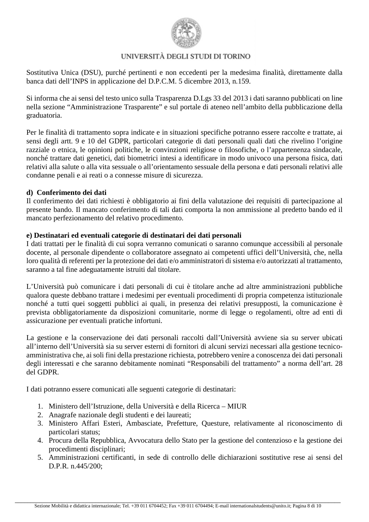

Sostitutiva Unica (DSU), purché pertinenti e non eccedenti per la medesima finalità, direttamente dalla banca dati dell'INPS in applicazione del D.P.C.M. 5 dicembre 2013, n.159.

Si informa che ai sensi del testo unico sulla Trasparenza D.Lgs 33 del 2013 i dati saranno pubblicati on line nella sezione "Amministrazione Trasparente" e sul portale di ateneo nell'ambito della pubblicazione della graduatoria.

Per le finalità di trattamento sopra indicate e in situazioni specifiche potranno essere raccolte e trattate, ai sensi degli artt. 9 e 10 del GDPR, particolari categorie di dati personali quali dati che rivelino l'origine razziale o etnica, le opinioni politiche, le convinzioni religiose o filosofiche, o l'appartenenza sindacale, nonché trattare dati genetici, dati biometrici intesi a identificare in modo univoco una persona fisica, dati relativi alla salute o alla vita sessuale o all'orientamento sessuale della persona e dati personali relativi alle condanne penali e ai reati o a connesse misure di sicurezza.

#### **d) Conferimento dei dati**

Il conferimento dei dati richiesti è obbligatorio ai fini della valutazione dei requisiti di partecipazione al presente bando. Il mancato conferimento di tali dati comporta la non ammissione al predetto bando ed il mancato perfezionamento del relativo procedimento.

## **e) Destinatari ed eventuali categorie di destinatari dei dati personali**

I dati trattati per le finalità di cui sopra verranno comunicati o saranno comunque accessibili al personale docente, al personale dipendente o collaboratore assegnato ai competenti uffici dell'Università, che, nella loro qualità di referenti per la protezione dei dati e/o amministratori di sistema e/o autorizzati al trattamento, saranno a tal fine adeguatamente istruiti dal titolare.

L'Università può comunicare i dati personali di cui è titolare anche ad altre amministrazioni pubbliche qualora queste debbano trattare i medesimi per eventuali procedimenti di propria competenza istituzionale nonché a tutti quei soggetti pubblici ai quali, in presenza dei relativi presupposti, la comunicazione è prevista obbligatoriamente da disposizioni comunitarie, norme di legge o regolamenti, oltre ad enti di assicurazione per eventuali pratiche infortuni.

La gestione e la conservazione dei dati personali raccolti dall'Università avviene sia su server ubicati all'interno dell'Università sia su server esterni di fornitori di alcuni servizi necessari alla gestione tecnicoamministrativa che, ai soli fini della prestazione richiesta, potrebbero venire a conoscenza dei dati personali degli interessati e che saranno debitamente nominati "Responsabili del trattamento" a norma dell'art. 28 del GDPR.

I dati potranno essere comunicati alle seguenti categorie di destinatari:

- 1. Ministero dell'Istruzione, della Università e della Ricerca MIUR
- 2. Anagrafe nazionale degli studenti e dei laureati;
- 3. Ministero Affari Esteri, Ambasciate, Prefetture, Questure, relativamente al riconoscimento di particolari status;
- 4. Procura della Repubblica, Avvocatura dello Stato per la gestione del contenzioso e la gestione dei procedimenti disciplinari;
- 5. Amministrazioni certificanti, in sede di controllo delle dichiarazioni sostitutive rese ai sensi del D.P.R. n.445/200;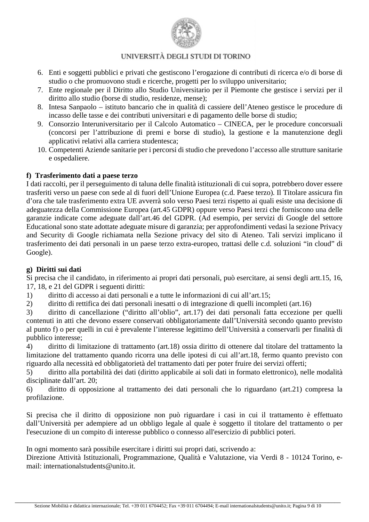

- 6. Enti e soggetti pubblici e privati che gestiscono l'erogazione di contributi di ricerca e/o di borse di studio o che promuovono studi e ricerche, progetti per lo sviluppo universitario;
- 7. Ente regionale per il Diritto allo Studio Universitario per il Piemonte che gestisce i servizi per il diritto allo studio (borse di studio, residenze, mense);
- 8. Intesa Sanpaolo istituto bancario che in qualità di cassiere dell'Ateneo gestisce le procedure di incasso delle tasse e dei contributi universitari e di pagamento delle borse di studio;
- 9. Consorzio Interuniversitario per il Calcolo Automatico CINECA, per le procedure concorsuali (concorsi per l'attribuzione di premi e borse di studio), la gestione e la manutenzione degli applicativi relativi alla carriera studentesca;
- 10. Competenti Aziende sanitarie per i percorsi di studio che prevedono l'accesso alle strutture sanitarie e ospedaliere.

## **f) Trasferimento dati a paese terzo**

I dati raccolti, per il perseguimento di taluna delle finalità istituzionali di cui sopra, potrebbero dover essere trasferiti verso un paese con sede al di fuori dell'Unione Europea (c.d. Paese terzo). Il Titolare assicura fin d'ora che tale trasferimento extra UE avverrà solo verso Paesi terzi rispetto ai quali esiste una decisione di adeguatezza della Commissione Europea (art.45 GDPR) oppure verso Paesi terzi che forniscono una delle garanzie indicate come adeguate dall'art.46 del GDPR. (Ad esempio, per servizi di Google del settore Educational sono state adottate adeguate misure di garanzia; per approfondimenti vedasi la sezione Privacy and Security di Google richiamata nella Sezione privacy del sito di Ateneo. Tali servizi implicano il trasferimento dei dati personali in un paese terzo extra-europeo, trattasi delle c.d. soluzioni "in cloud" di Google).

#### **g) Diritti sui dati**

Si precisa che il candidato, in riferimento ai propri dati personali, può esercitare, ai sensi degli artt.15, 16, 17, 18, e 21 del GDPR i seguenti diritti:

- 1) diritto di accesso ai dati personali e a tutte le informazioni di cui all'art.15;
- 2) diritto di rettifica dei dati personali inesatti o di integrazione di quelli incompleti (art.16)

3) diritto di cancellazione ("diritto all'oblio", art.17) dei dati personali fatta eccezione per quelli contenuti in atti che devono essere conservati obbligatoriamente dall'Università secondo quanto previsto al punto f) o per quelli in cui è prevalente l'interesse legittimo dell'Università a conservarli per finalità di pubblico interesse;

4) diritto di limitazione di trattamento (art.18) ossia diritto di ottenere dal titolare del trattamento la limitazione del trattamento quando ricorra una delle ipotesi di cui all'art.18, fermo quanto previsto con riguardo alla necessità ed obbligatorietà del trattamento dati per poter fruire dei servizi offerti;

5) diritto alla portabilità dei dati (diritto applicabile ai soli dati in formato elettronico), nelle modalità disciplinate dall'art. 20;

6) diritto di opposizione al trattamento dei dati personali che lo riguardano (art.21) compresa la profilazione.

Si precisa che il diritto di opposizione non può riguardare i casi in cui il trattamento è effettuato dall'Università per adempiere ad un obbligo legale al quale è soggetto il titolare del trattamento o per l'esecuzione di un compito di interesse pubblico o connesso all'esercizio di pubblici poteri.

In ogni momento sarà possibile esercitare i diritti sui propri dati, scrivendo a:

Direzione Attività Istituzionali, Programmazione, Qualità e Valutazione, via Verdi 8 - 10124 Torino, email: internationalstudents@unito.it.